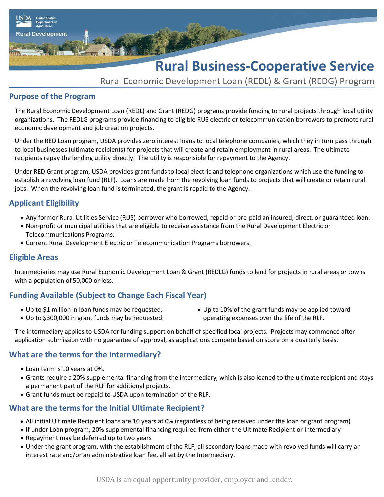

Rural Economic Development Loan (REDL) & Grant (REDG) Program

# **Purpose of the Program**

**Rural Development** 

The Rural Economic Development Loan (REDL) and Grant (REDG) programs provide funding to rural projects through local utility organizations. The REDLG programs provide financing to eligible RUS electric or telecommunication borrowers to promote rural economic development and job creation projects.

Under the RED Loan program, USDA provides zero interest loans to local telephone companies, which they in turn pass through to local businesses (ultimate recipients) for projects that will create and retain employment in rural areas. The ultimate recipients repay the lending utility directly. The utility is responsible for repayment to the Agency.

Under RED Grant program, USDA provides grant funds to local electric and telephone organizations which use the funding to establish a revolving loan fund (RLF). Loans are made from the revolving loan funds to projects that will create or retain rural jobs. When the revolving loan fund is terminated, the grant is repaid to the Agency.

# **Applicant Eligibility**

- Any former Rural Utilities Service (RUS) borrower who borrowed, repaid or pre-paid an insured, direct, or guaranteed loan.
- Non-profit or municipal utilities that are eligible to receive assistance from the Rural Development Electric or Telecommunications Programs.
- Current Rural Development Electric or Telecommunication Programs borrowers.

# **Eligible Areas**

Intermediaries may use Rural Economic Development Loan & Grant (REDLG) funds to lend for projects in rural areas or towns with a population of 50,000 or less.

# **Funding Available (Subject to Change Each Fiscal Year)**

- Up to \$1 million in loan funds may be requested. • Up to \$300,000 in grant funds may be requested.
- Up to 10% of the grant funds may be applied toward operating expenses over the life of the RLF.

The intermediary applies to USDA for funding support on behalf of specified local projects. Projects may commence after application submission with no guarantee of approval, as applications compete based on score on a quarterly basis.

# **What are the terms for the Intermediary?**

- Loan term is 10 years at 0%.
- Grants require a 20% supplemental financing from the intermediary, which is also loaned to the ultimate recipient and stays a permanent part of the RLF for additional projects.
- Grant funds must be repaid to USDA upon termination of the RLF.

# **What are the terms for the Initial Ultimate Recipient?**

- All initial Ultimate Recipient loans are 10 years at 0% (regardless of being received under the loan or grant program)
- If under Loan program, 20% supplemental financing required from either the Ultimate Recipient or Intermediary
- Repayment may be deferred up to two years
- Under the grant program, with the establishment of the RLF, all secondary loans made with revolved funds will carry an interest rate and/or an administrative loan fee, all set by the Intermediary.